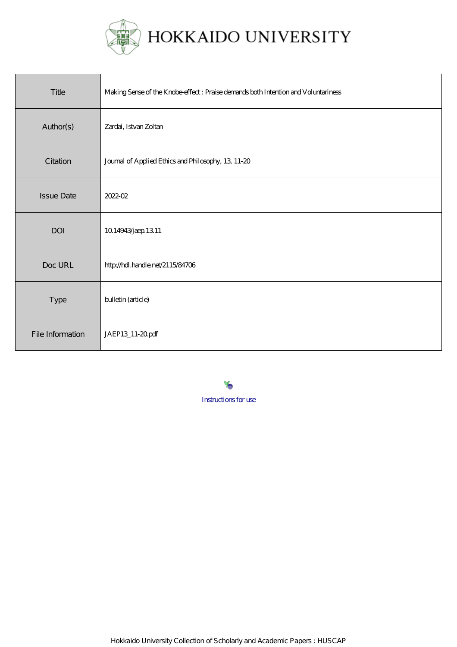

| Title             | Making Sense of the Knobe effect : Praise demands both Intention and Voluntariness |
|-------------------|------------------------------------------------------------------------------------|
| Author(s)         | Zardai, Istvan Zoltan                                                              |
| Citation          | Journal of Applied Ethics and Philosophy, 13, 11-20                                |
| <b>Issue Date</b> | 2022-02                                                                            |
| DOI               | 1014943 jaep 1311                                                                  |
| Doc URL           | http://hdl.handle.net/2115/84706                                                   |
| Type              | bulletin (article)                                                                 |
| File Information  | JAEP13_11-20pdf                                                                    |

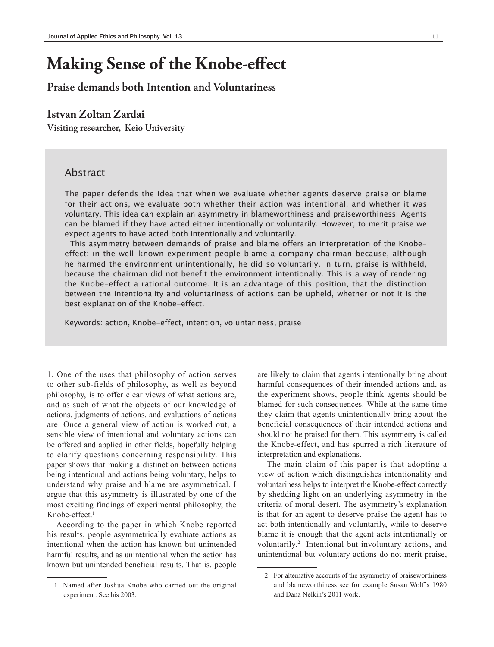# **Making Sense of the Knobe-effect**

# **Praise demands both Intention and Voluntariness**

# **Istvan Zoltan Zardai**

**Visiting researcher, Keio University**

## Abstract

The paper defends the idea that when we evaluate whether agents deserve praise or blame for their actions, we evaluate both whether their action was intentional, and whether it was voluntary. This idea can explain an asymmetry in blameworthiness and praiseworthiness: Agents can be blamed if they have acted either intentionally or voluntarily. However, to merit praise we expect agents to have acted both intentionally and voluntarily.

 This asymmetry between demands of praise and blame offers an interpretation of the Knobeeffect: in the well-known experiment people blame a company chairman because, although he harmed the environment unintentionally, he did so voluntarily. In turn, praise is withheld, because the chairman did not benefit the environment intentionally. This is a way of rendering the Knobe-effect a rational outcome. It is an advantage of this position, that the distinction between the intentionality and voluntariness of actions can be upheld, whether or not it is the best explanation of the Knobe-effect.

Keywords: action, Knobe-effect, intention, voluntariness, praise

1. One of the uses that philosophy of action serves to other sub-fields of philosophy, as well as beyond philosophy, is to offer clear views of what actions are, and as such of what the objects of our knowledge of actions, judgments of actions, and evaluations of actions are. Once a general view of action is worked out, a sensible view of intentional and voluntary actions can be offered and applied in other fields, hopefully helping to clarify questions concerning responsibility. This paper shows that making a distinction between actions being intentional and actions being voluntary, helps to understand why praise and blame are asymmetrical. I argue that this asymmetry is illustrated by one of the most exciting findings of experimental philosophy, the Knobe-effect.1

According to the paper in which Knobe reported his results, people asymmetrically evaluate actions as intentional when the action has known but unintended harmful results, and as unintentional when the action has known but unintended beneficial results. That is, people

are likely to claim that agents intentionally bring about harmful consequences of their intended actions and, as the experiment shows, people think agents should be blamed for such consequences. While at the same time they claim that agents unintentionally bring about the beneficial consequences of their intended actions and should not be praised for them. This asymmetry is called the Knobe-effect, and has spurred a rich literature of interpretation and explanations.

The main claim of this paper is that adopting a view of action which distinguishes intentionality and voluntariness helps to interpret the Knobe-effect correctly by shedding light on an underlying asymmetry in the criteria of moral desert. The asymmetry's explanation is that for an agent to deserve praise the agent has to act both intentionally and voluntarily, while to deserve blame it is enough that the agent acts intentionally or voluntarily.<sup>2</sup> Intentional but involuntary actions, and unintentional but voluntary actions do not merit praise,

<sup>1</sup> Named after Joshua Knobe who carried out the original experiment. See his 2003.

<sup>2</sup> For alternative accounts of the asymmetry of praiseworthiness and blameworthiness see for example Susan Wolf's 1980 and Dana Nelkin's 2011 work.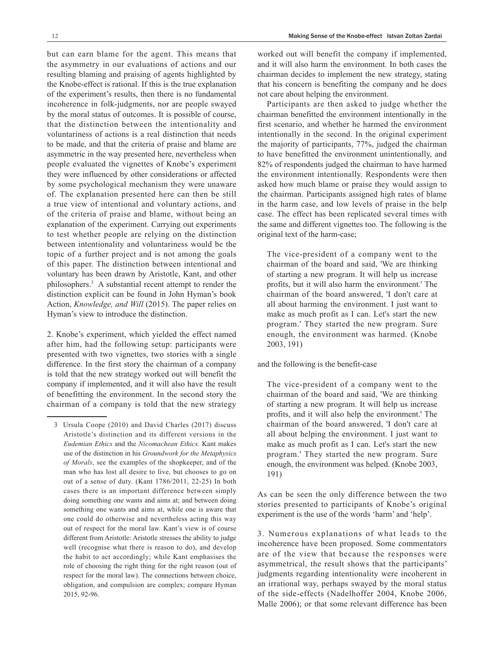but can earn blame for the agent. This means that the asymmetry in our evaluations of actions and our resulting blaming and praising of agents highlighted by the Knobe-effect is rational. If this is the true explanation of the experiment's results, then there is no fundamental incoherence in folk-judgments, nor are people swayed by the moral status of outcomes. It is possible of course, that the distinction between the intentionality and voluntariness of actions is a real distinction that needs to be made, and that the criteria of praise and blame are asymmetric in the way presented here, nevertheless when people evaluated the vignettes of Knobe's experiment they were influenced by other considerations or affected by some psychological mechanism they were unaware of. The explanation presented here can then be still a true view of intentional and voluntary actions, and of the criteria of praise and blame, without being an explanation of the experiment. Carrying out experiments to test whether people are relying on the distinction between intentionality and voluntariness would be the topic of a further project and is not among the goals of this paper. The distinction between intentional and voluntary has been drawn by Aristotle, Kant, and other philosophers.3 A substantial recent attempt to render the distinction explicit can be found in John Hyman's book Action, *Knowledge, and Will* (2015). The paper relies on Hyman's view to introduce the distinction.

2. Knobe's experiment, which yielded the effect named after him, had the following setup: participants were presented with two vignettes, two stories with a single difference. In the first story the chairman of a company is told that the new strategy worked out will benefit the company if implemented, and it will also have the result of benefitting the environment. In the second story the chairman of a company is told that the new strategy

worked out will benefit the company if implemented, and it will also harm the environment. In both cases the chairman decides to implement the new strategy, stating that his concern is benefiting the company and he does not care about helping the environment.

Participants are then asked to judge whether the chairman benefitted the environment intentionally in the first scenario, and whether he harmed the environment intentionally in the second. In the original experiment the majority of participants, 77%, judged the chairman to have benefitted the environment unintentionally, and 82% of respondents judged the chairman to have harmed the environment intentionally. Respondents were then asked how much blame or praise they would assign to the chairman. Participants assigned high rates of blame in the harm case, and low levels of praise in the help case. The effect has been replicated several times with the same and different vignettes too. The following is the original text of the harm-case;

The vice-president of a company went to the chairman of the board and said, 'We are thinking of starting a new program. It will help us increase profits, but it will also harm the environment.' The chairman of the board answered, 'I don't care at all about harming the environment. I just want to make as much profit as I can. Let's start the new program.' They started the new program. Sure enough, the environment was harmed. (Knobe 2003, 191)

and the following is the benefit-case

The vice-president of a company went to the chairman of the board and said, 'We are thinking of starting a new program. It will help us increase profits, and it will also help the environment.' The chairman of the board answered, 'I don't care at all about helping the environment. I just want to make as much profit as I can. Let's start the new program.' They started the new program. Sure enough, the environment was helped. (Knobe 2003, 191)

As can be seen the only difference between the two stories presented to participants of Knobe's original experiment is the use of the words 'harm' and 'help'.

3. Numerous explanations of what leads to the incoherence have been proposed. Some commentators are of the view that because the responses were asymmetrical, the result shows that the participants' judgments regarding intentionality were incoherent in an irrational way, perhaps swayed by the moral status of the side-effects (Nadelhoffer 2004, Knobe 2006, Malle 2006); or that some relevant difference has been

<sup>3</sup> Ursula Coope (2010) and David Charles (2017) discuss Aristotle's distinction and its different versions in the *Eudemian Ethics* and the *Nicomachean Ethics.* Kant makes use of the distinction in his *Groundwork for the Metaphysics of Morals*, see the examples of the shopkeeper, and of the man who has lost all desire to live, but chooses to go on out of a sense of duty. (Kant 1786/2011, 22-25) In both cases there is an important difference between simply doing something one wants and aims at; and between doing something one wants and aims at, while one is aware that one could do otherwise and nevertheless acting this way out of respect for the moral law. Kant's view is of course different from Aristotle: Aristotle stresses the ability to judge well (recognise what there is reason to do), and develop the habit to act accordingly; while Kant emphasises the role of choosing the right thing for the right reason (out of respect for the moral law). The connections between choice, obligation, and compulsion are complex; compare Hyman 2015, 92-96.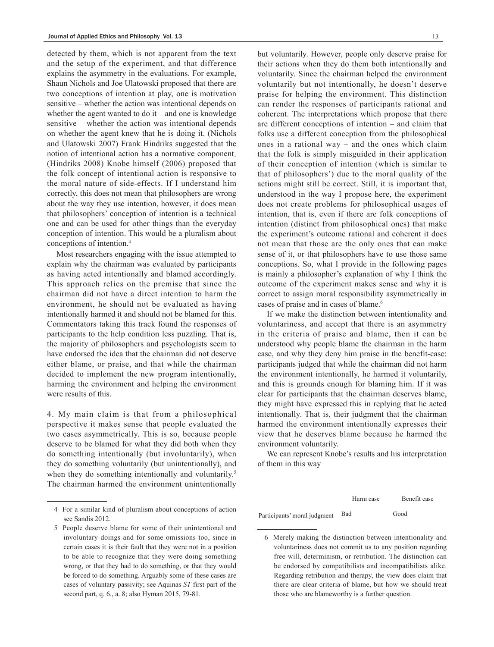detected by them, which is not apparent from the text and the setup of the experiment, and that difference explains the asymmetry in the evaluations. For example, Shaun Nichols and Joe Ulatowski proposed that there are two conceptions of intention at play, one is motivation sensitive – whether the action was intentional depends on whether the agent wanted to do  $it$  – and one is knowledge sensitive – whether the action was intentional depends on whether the agent knew that he is doing it. (Nichols and Ulatowski 2007) Frank Hindriks suggested that the notion of intentional action has a normative component. (Hindriks 2008) Knobe himself (2006) proposed that the folk concept of intentional action is responsive to the moral nature of side-effects. If I understand him correctly, this does not mean that philosophers are wrong about the way they use intention, however, it does mean that philosophers' conception of intention is a technical one and can be used for other things than the everyday conception of intention. This would be a pluralism about conceptions of intention.4

Most researchers engaging with the issue attempted to explain why the chairman was evaluated by participants as having acted intentionally and blamed accordingly. This approach relies on the premise that since the chairman did not have a direct intention to harm the environment, he should not be evaluated as having intentionally harmed it and should not be blamed for this. Commentators taking this track found the responses of participants to the help condition less puzzling. That is, the majority of philosophers and psychologists seem to have endorsed the idea that the chairman did not deserve either blame, or praise, and that while the chairman decided to implement the new program intentionally, harming the environment and helping the environment were results of this.

4. My main claim is that from a philosophical perspective it makes sense that people evaluated the two cases asymmetrically. This is so, because people deserve to be blamed for what they did both when they do something intentionally (but involuntarily), when they do something voluntarily (but unintentionally), and when they do something intentionally and voluntarily.<sup>5</sup> The chairman harmed the environment unintentionally

but voluntarily. However, people only deserve praise for their actions when they do them both intentionally and voluntarily. Since the chairman helped the environment voluntarily but not intentionally, he doesn't deserve praise for helping the environment. This distinction can render the responses of participants rational and coherent. The interpretations which propose that there are different conceptions of intention – and claim that folks use a different conception from the philosophical ones in a rational way – and the ones which claim that the folk is simply misguided in their application of their conception of intention (which is similar to that of philosophers') due to the moral quality of the actions might still be correct. Still, it is important that, understood in the way I propose here, the experiment does not create problems for philosophical usages of intention, that is, even if there are folk conceptions of intention (distinct from philosophical ones) that make the experiment's outcome rational and coherent it does not mean that those are the only ones that can make sense of it, or that philosophers have to use those same conceptions. So, what I provide in the following pages is mainly a philosopher's explanation of why I think the outcome of the experiment makes sense and why it is correct to assign moral responsibility asymmetrically in cases of praise and in cases of blame.<sup>6</sup>

If we make the distinction between intentionality and voluntariness, and accept that there is an asymmetry in the criteria of praise and blame, then it can be understood why people blame the chairman in the harm case, and why they deny him praise in the benefit-case: participants judged that while the chairman did not harm the environment intentionally, he harmed it voluntarily, and this is grounds enough for blaming him. If it was clear for participants that the chairman deserves blame, they might have expressed this in replying that he acted intentionally. That is, their judgment that the chairman harmed the environment intentionally expresses their view that he deserves blame because he harmed the environment voluntarily.

We can represent Knobe's results and his interpretation of them in this way

Harm case Benefit case Participants' moral judgment Bad Good

<sup>4</sup> For a similar kind of pluralism about conceptions of action see Sandis 2012.

<sup>5</sup> People deserve blame for some of their unintentional and involuntary doings and for some omissions too, since in certain cases it is their fault that they were not in a position to be able to recognize that they were doing something wrong, or that they had to do something, or that they would be forced to do something. Arguably some of these cases are cases of voluntary passivity; see Aquinas *ST* first part of the second part, q. 6., a. 8; also Hyman 2015, 79-81.

<sup>6</sup> Merely making the distinction between intentionality and voluntariness does not commit us to any position regarding free will, determinism, or retribution. The distinction can be endorsed by compatibilists and incompatibilists alike. Regarding retribution and therapy, the view does claim that there are clear criteria of blame, but how we should treat those who are blameworthy is a further question.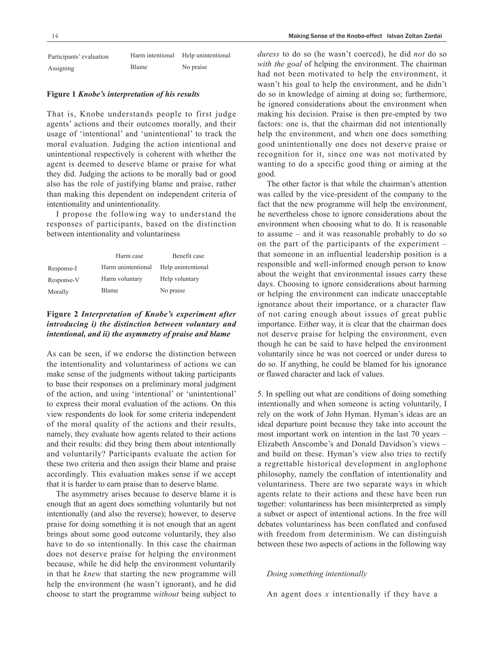| Participants' evaluation | Harm intentional | Help unintentional |
|--------------------------|------------------|--------------------|
| Assigning                | <b>Blame</b>     | No praise          |

#### **Figure 1** *Knobe's interpretation of his results*

That is, Knobe understands people to first judge agents' actions and their outcomes morally, and their usage of 'intentional' and 'unintentional' to track the moral evaluation. Judging the action intentional and unintentional respectively is coherent with whether the agent is deemed to deserve blame or praise for what they did. Judging the actions to be morally bad or good also has the role of justifying blame and praise, rather than making this dependent on independent criteria of intentionality and unintentionality.

I propose the following way to understand the responses of participants, based on the distinction between intentionality and voluntariness

|            | Harm case          | Benefit case       |
|------------|--------------------|--------------------|
| Response-I | Harm unintentional | Help unintentional |
| Response-V | Harm voluntary     | Help voluntary     |
| Morally    | Blame              | No praise          |

## **Figure 2** *Interpretation of Knobe's experiment after introducing i) the distinction between voluntary and intentional, and ii) the asymmetry of praise and blame*

As can be seen, if we endorse the distinction between the intentionality and voluntariness of actions we can make sense of the judgments without taking participants to base their responses on a preliminary moral judgment of the action, and using 'intentional' or 'unintentional' to express their moral evaluation of the actions. On this view respondents do look for some criteria independent of the moral quality of the actions and their results, namely, they evaluate how agents related to their actions and their results: did they bring them about intentionally and voluntarily? Participants evaluate the action for these two criteria and then assign their blame and praise accordingly. This evaluation makes sense if we accept that it is harder to earn praise than to deserve blame.

The asymmetry arises because to deserve blame it is enough that an agent does something voluntarily but not intentionally (and also the reverse); however, to deserve praise for doing something it is not enough that an agent brings about some good outcome voluntarily, they also have to do so intentionally. In this case the chairman does not deserve praise for helping the environment because, while he did help the environment voluntarily in that he *knew* that starting the new programme will help the environment (he wasn't ignorant), and he did choose to start the programme *without* being subject to *duress* to do so (he wasn't coerced), he did *not* do so *with the goal* of helping the environment. The chairman had not been motivated to help the environment, it wasn't his goal to help the environment, and he didn't do so in knowledge of aiming at doing so; furthermore, he ignored considerations about the environment when making his decision. Praise is then pre-empted by two factors: one is, that the chairman did not intentionally help the environment, and when one does something good unintentionally one does not deserve praise or recognition for it, since one was not motivated by wanting to do a specific good thing or aiming at the good.

The other factor is that while the chairman's attention was called by the vice-president of the company to the fact that the new programme will help the environment, he nevertheless chose to ignore considerations about the environment when choosing what to do. It is reasonable to assume – and it was reasonable probably to do so on the part of the participants of the experiment – that someone in an influential leadership position is a responsible and well-informed enough person to know about the weight that environmental issues carry these days. Choosing to ignore considerations about harming or helping the environment can indicate unacceptable ignorance about their importance, or a character flaw of not caring enough about issues of great public importance. Either way, it is clear that the chairman does not deserve praise for helping the environment, even though he can be said to have helped the environment voluntarily since he was not coerced or under duress to do so. If anything, he could be blamed for his ignorance or flawed character and lack of values.

5. In spelling out what are conditions of doing something intentionally and when someone is acting voluntarily, I rely on the work of John Hyman. Hyman's ideas are an ideal departure point because they take into account the most important work on intention in the last 70 years – Elizabeth Anscombe's and Donald Davidson's views – and build on these. Hyman's view also tries to rectify a regrettable historical development in anglophone philosophy, namely the conflation of intentionality and voluntariness. There are two separate ways in which agents relate to their actions and these have been run together: voluntariness has been misinterpreted as simply a subset or aspect of intentional actions. In the free will debates voluntariness has been conflated and confused with freedom from determinism. We can distinguish between these two aspects of actions in the following way

### *Doing something intentionally*

An agent does *x* intentionally if they have a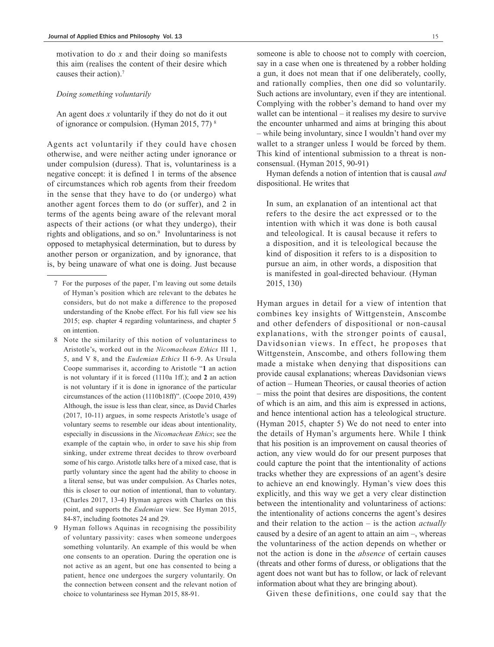motivation to do *x* and their doing so manifests this aim (realises the content of their desire which causes their action).7

#### *Doing something voluntarily*

An agent does *x* voluntarily if they do not do it out of ignorance or compulsion. (Hyman 2015, 77) 8

Agents act voluntarily if they could have chosen otherwise, and were neither acting under ignorance or under compulsion (duress). That is, voluntariness is a negative concept: it is defined 1 in terms of the absence of circumstances which rob agents from their freedom in the sense that they have to do (or undergo) what another agent forces them to do (or suffer), and 2 in terms of the agents being aware of the relevant moral aspects of their actions (or what they undergo), their rights and obligations, and so on.<sup>9</sup> Involuntariness is not opposed to metaphysical determination, but to duress by another person or organization, and by ignorance, that is, by being unaware of what one is doing. Just because

- 8 Note the similarity of this notion of voluntariness to Aristotle's, worked out in the *Nicomachean Ethics* III 1, 5, and V 8, and the *Eudemian Ethics* II 6-9. As Ursula Coope summarises it, according to Aristotle "**1** an action is not voluntary if it is forced (1110a 1ff.); and **2** an action is not voluntary if it is done in ignorance of the particular circumstances of the action (1110b18ff)". (Coope 2010, 439) Although, the issue is less than clear, since, as David Charles (2017, 10-11) argues, in some respects Aristotle's usage of voluntary seems to resemble our ideas about intentionality, especially in discussions in the *Nicomachean Ethics*; see the example of the captain who, in order to save his ship from sinking, under extreme threat decides to throw overboard some of his cargo. Aristotle talks here of a mixed case, that is partly voluntary since the agent had the ability to choose in a literal sense, but was under compulsion. As Charles notes, this is closer to our notion of intentional, than to voluntary. (Charles 2017, 13-4) Hyman agrees with Charles on this point, and supports the *Eudemian* view. See Hyman 2015, 84-87, including footnotes 24 and 29.
- 9 Hyman follows Aquinas in recognising the possibility of voluntary passivity: cases when someone undergoes something voluntarily. An example of this would be when one consents to an operation. During the operation one is not active as an agent, but one has consented to being a patient, hence one undergoes the surgery voluntarily. On the connection between consent and the relevant notion of choice to voluntariness see Hyman 2015, 88-91.

someone is able to choose not to comply with coercion, say in a case when one is threatened by a robber holding a gun, it does not mean that if one deliberately, coolly, and rationally complies, then one did so voluntarily. Such actions are involuntary, even if they are intentional. Complying with the robber's demand to hand over my wallet can be intentional – it realises my desire to survive the encounter unharmed and aims at bringing this about – while being involuntary, since I wouldn't hand over my wallet to a stranger unless I would be forced by them. This kind of intentional submission to a threat is nonconsensual. (Hyman 2015, 90-91)

Hyman defends a notion of intention that is causal *and* dispositional. He writes that

In sum, an explanation of an intentional act that refers to the desire the act expressed or to the intention with which it was done is both causal and teleological. It is causal because it refers to a disposition, and it is teleological because the kind of disposition it refers to is a disposition to pursue an aim, in other words, a disposition that is manifested in goal-directed behaviour. (Hyman 2015, 130)

Hyman argues in detail for a view of intention that combines key insights of Wittgenstein, Anscombe and other defenders of dispositional or non-causal explanations, with the stronger points of causal, Davidsonian views. In effect, he proposes that Wittgenstein, Anscombe, and others following them made a mistake when denying that dispositions can provide causal explanations; whereas Davidsonian views of action – Humean Theories, or causal theories of action – miss the point that desires are dispositions, the content of which is an aim, and this aim is expressed in actions, and hence intentional action has a teleological structure. (Hyman 2015, chapter 5) We do not need to enter into the details of Hyman's arguments here. While I think that his position is an improvement on causal theories of action, any view would do for our present purposes that could capture the point that the intentionality of actions tracks whether they are expressions of an agent's desire to achieve an end knowingly. Hyman's view does this explicitly, and this way we get a very clear distinction between the intentionality and voluntariness of actions: the intentionality of actions concerns the agent's desires and their relation to the action – is the action *actually* caused by a desire of an agent to attain an aim –, whereas the voluntariness of the action depends on whether or not the action is done in the *absence* of certain causes (threats and other forms of duress, or obligations that the agent does not want but has to follow, or lack of relevant information about what they are bringing about).

Given these definitions, one could say that the

<sup>7</sup> For the purposes of the paper, I'm leaving out some details of Hyman's position which are relevant to the debates he considers, but do not make a difference to the proposed understanding of the Knobe effect. For his full view see his 2015; esp. chapter 4 regarding voluntariness, and chapter 5 on intention.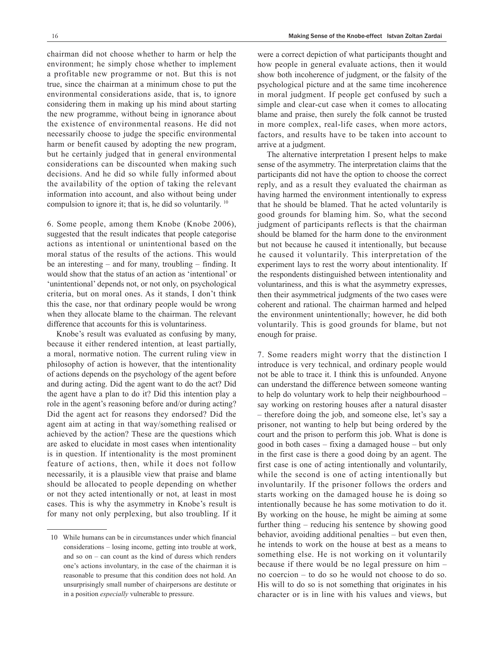chairman did not choose whether to harm or help the environment; he simply chose whether to implement a profitable new programme or not. But this is not true, since the chairman at a minimum chose to put the environmental considerations aside, that is, to ignore considering them in making up his mind about starting the new programme, without being in ignorance about the existence of environmental reasons. He did not necessarily choose to judge the specific environmental harm or benefit caused by adopting the new program, but he certainly judged that in general environmental considerations can be discounted when making such decisions. And he did so while fully informed about the availability of the option of taking the relevant information into account, and also without being under

6. Some people, among them Knobe (Knobe 2006), suggested that the result indicates that people categorise actions as intentional or unintentional based on the moral status of the results of the actions. This would be an interesting – and for many, troubling – finding. It would show that the status of an action as 'intentional' or 'unintentional' depends not, or not only, on psychological criteria, but on moral ones. As it stands, I don't think this the case, nor that ordinary people would be wrong when they allocate blame to the chairman. The relevant difference that accounts for this is voluntariness.

compulsion to ignore it; that is, he did so voluntarily. 10

Knobe's result was evaluated as confusing by many, because it either rendered intention, at least partially, a moral, normative notion. The current ruling view in philosophy of action is however, that the intentionality of actions depends on the psychology of the agent before and during acting. Did the agent want to do the act? Did the agent have a plan to do it? Did this intention play a role in the agent's reasoning before and/or during acting? Did the agent act for reasons they endorsed? Did the agent aim at acting in that way/something realised or achieved by the action? These are the questions which are asked to elucidate in most cases when intentionality is in question. If intentionality is the most prominent feature of actions, then, while it does not follow necessarily, it is a plausible view that praise and blame should be allocated to people depending on whether or not they acted intentionally or not, at least in most cases. This is why the asymmetry in Knobe's result is for many not only perplexing, but also troubling. If it were a correct depiction of what participants thought and how people in general evaluate actions, then it would show both incoherence of judgment, or the falsity of the psychological picture and at the same time incoherence in moral judgment. If people get confused by such a simple and clear-cut case when it comes to allocating blame and praise, then surely the folk cannot be trusted in more complex, real-life cases, when more actors, factors, and results have to be taken into account to arrive at a judgment.

The alternative interpretation I present helps to make sense of the asymmetry. The interpretation claims that the participants did not have the option to choose the correct reply, and as a result they evaluated the chairman as having harmed the environment intentionally to express that he should be blamed. That he acted voluntarily is good grounds for blaming him. So, what the second judgment of participants reflects is that the chairman should be blamed for the harm done to the environment but not because he caused it intentionally, but because he caused it voluntarily. This interpretation of the experiment lays to rest the worry about intentionality. If the respondents distinguished between intentionality and voluntariness, and this is what the asymmetry expresses, then their asymmetrical judgments of the two cases were coherent and rational. The chairman harmed and helped the environment unintentionally; however, he did both voluntarily. This is good grounds for blame, but not enough for praise.

7. Some readers might worry that the distinction I introduce is very technical, and ordinary people would not be able to trace it. I think this is unfounded. Anyone can understand the difference between someone wanting to help do voluntary work to help their neighbourhood – say working on restoring houses after a natural disaster – therefore doing the job, and someone else, let's say a prisoner, not wanting to help but being ordered by the court and the prison to perform this job. What is done is good in both cases – fixing a damaged house – but only in the first case is there a good doing by an agent. The first case is one of acting intentionally and voluntarily, while the second is one of acting intentionally but involuntarily. If the prisoner follows the orders and starts working on the damaged house he is doing so intentionally because he has some motivation to do it. By working on the house, he might be aiming at some further thing – reducing his sentence by showing good behavior, avoiding additional penalties – but even then, he intends to work on the house at best as a means to something else. He is not working on it voluntarily because if there would be no legal pressure on him – no coercion – to do so he would not choose to do so. His will to do so is not something that originates in his character or is in line with his values and views, but

<sup>10</sup> While humans can be in circumstances under which financial considerations – losing income, getting into trouble at work, and so on – can count as the kind of duress which renders one's actions involuntary, in the case of the chairman it is reasonable to presume that this condition does not hold. An unsurprisingly small number of chairpersons are destitute or in a position *especially* vulnerable to pressure.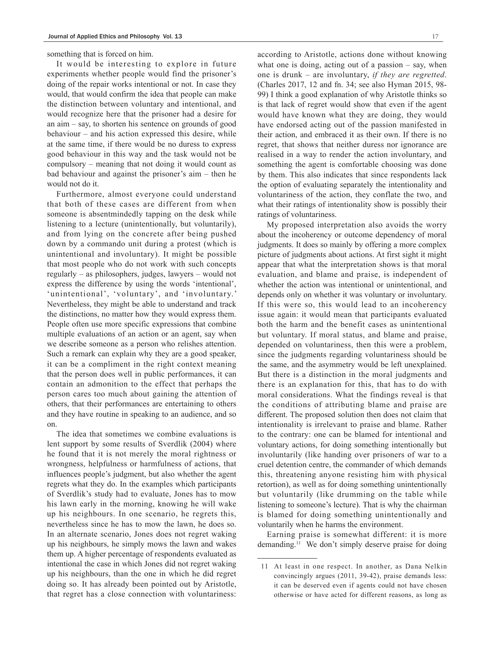something that is forced on him.

It would be interesting to explore in future experiments whether people would find the prisoner's doing of the repair works intentional or not. In case they would, that would confirm the idea that people can make the distinction between voluntary and intentional, and would recognize here that the prisoner had a desire for an aim – say, to shorten his sentence on grounds of good behaviour – and his action expressed this desire, while at the same time, if there would be no duress to express good behaviour in this way and the task would not be compulsory – meaning that not doing it would count as bad behaviour and against the prisoner's aim – then he would not do it.

Furthermore, almost everyone could understand that both of these cases are different from when someone is absentmindedly tapping on the desk while listening to a lecture (unintentionally, but voluntarily), and from lying on the concrete after being pushed down by a commando unit during a protest (which is unintentional and involuntary). It might be possible that most people who do not work with such concepts regularly – as philosophers, judges, lawyers – would not express the difference by using the words 'intentional', 'unintentional', 'voluntary', and 'involuntary.' Nevertheless, they might be able to understand and track the distinctions, no matter how they would express them. People often use more specific expressions that combine multiple evaluations of an action or an agent, say when we describe someone as a person who relishes attention. Such a remark can explain why they are a good speaker, it can be a compliment in the right context meaning that the person does well in public performances, it can contain an admonition to the effect that perhaps the person cares too much about gaining the attention of others, that their performances are entertaining to others and they have routine in speaking to an audience, and so on.

The idea that sometimes we combine evaluations is lent support by some results of Sverdlik (2004) where he found that it is not merely the moral rightness or wrongness, helpfulness or harmfulness of actions, that influences people's judgment, but also whether the agent regrets what they do. In the examples which participants of Sverdlik's study had to evaluate, Jones has to mow his lawn early in the morning, knowing he will wake up his neighbours. In one scenario, he regrets this, nevertheless since he has to mow the lawn, he does so. In an alternate scenario, Jones does not regret waking up his neighbours, he simply mows the lawn and wakes them up. A higher percentage of respondents evaluated as intentional the case in which Jones did not regret waking up his neighbours, than the one in which he did regret doing so. It has already been pointed out by Aristotle, that regret has a close connection with voluntariness:

according to Aristotle, actions done without knowing what one is doing, acting out of a passion – say, when one is drunk – are involuntary, *if they are regretted*. (Charles 2017, 12 and fn. 34; see also Hyman 2015, 98- 99) I think a good explanation of why Aristotle thinks so is that lack of regret would show that even if the agent would have known what they are doing, they would have endorsed acting out of the passion manifested in their action, and embraced it as their own. If there is no regret, that shows that neither duress nor ignorance are realised in a way to render the action involuntary, and something the agent is comfortable choosing was done by them. This also indicates that since respondents lack the option of evaluating separately the intentionality and voluntariness of the action, they conflate the two, and what their ratings of intentionality show is possibly their ratings of voluntariness.

My proposed interpretation also avoids the worry about the incoherency or outcome dependency of moral judgments. It does so mainly by offering a more complex picture of judgments about actions. At first sight it might appear that what the interpretation shows is that moral evaluation, and blame and praise, is independent of whether the action was intentional or unintentional, and depends only on whether it was voluntary or involuntary. If this were so, this would lead to an incoherency issue again: it would mean that participants evaluated both the harm and the benefit cases as unintentional but voluntary. If moral status, and blame and praise, depended on voluntariness, then this were a problem, since the judgments regarding voluntariness should be the same, and the asymmetry would be left unexplained. But there is a distinction in the moral judgments and there is an explanation for this, that has to do with moral considerations. What the findings reveal is that the conditions of attributing blame and praise are different. The proposed solution then does not claim that intentionality is irrelevant to praise and blame. Rather to the contrary: one can be blamed for intentional and voluntary actions, for doing something intentionally but involuntarily (like handing over prisoners of war to a cruel detention centre, the commander of which demands this, threatening anyone resisting him with physical retortion), as well as for doing something unintentionally but voluntarily (like drumming on the table while listening to someone's lecture). That is why the chairman is blamed for doing something unintentionally and voluntarily when he harms the environment.

Earning praise is somewhat different: it is more demanding.11 We don't simply deserve praise for doing

<sup>11</sup> At least in one respect. In another, as Dana Nelkin convincingly argues (2011, 39-42), praise demands less: it can be deserved even if agents could not have chosen otherwise or have acted for different reasons, as long as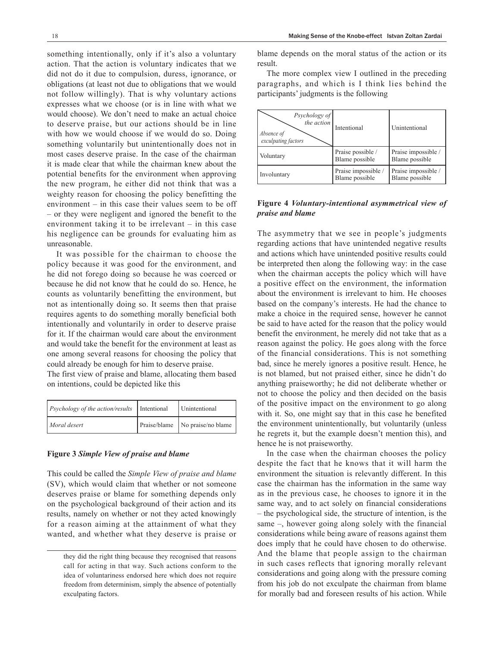something intentionally, only if it's also a voluntary action. That the action is voluntary indicates that we did not do it due to compulsion, duress, ignorance, or obligations (at least not due to obligations that we would not follow willingly). That is why voluntary actions expresses what we choose (or is in line with what we would choose). We don't need to make an actual choice to deserve praise, but our actions should be in line with how we would choose if we would do so. Doing something voluntarily but unintentionally does not in most cases deserve praise. In the case of the chairman it is made clear that while the chairman knew about the potential benefits for the environment when approving the new program, he either did not think that was a weighty reason for choosing the policy benefitting the environment – in this case their values seem to be off – or they were negligent and ignored the benefit to the environment taking it to be irrelevant – in this case his negligence can be grounds for evaluating him as unreasonable.

It was possible for the chairman to choose the policy because it was good for the environment, and he did not forego doing so because he was coerced or because he did not know that he could do so. Hence, he counts as voluntarily benefitting the environment, but not as intentionally doing so. It seems then that praise requires agents to do something morally beneficial both intentionally and voluntarily in order to deserve praise for it. If the chairman would care about the environment and would take the benefit for the environment at least as one among several reasons for choosing the policy that could already be enough for him to deserve praise.

The first view of praise and blame, allocating them based on intentions, could be depicted like this

| <i>Psychology of the action/results</i>   Intentional | Unintentional                     |
|-------------------------------------------------------|-----------------------------------|
| Moral desert                                          | Praise/blame   No praise/no blame |

#### **Figure 3** *Simple View of praise and blame*

This could be called the *Simple View of praise and blame* (SV), which would claim that whether or not someone deserves praise or blame for something depends only on the psychological background of their action and its results, namely on whether or not they acted knowingly for a reason aiming at the attainment of what they wanted, and whether what they deserve is praise or blame depends on the moral status of the action or its result.

The more complex view I outlined in the preceding paragraphs, and which is I think lies behind the participants' judgments is the following

| Psychology of<br>the action<br>Absence of<br>exculpating factors | Intentional                           | Unintentional                         |
|------------------------------------------------------------------|---------------------------------------|---------------------------------------|
| Voluntary                                                        | Praise possible /<br>Blame possible   | Praise impossible /<br>Blame possible |
| Involuntary                                                      | Praise impossible /<br>Blame possible | Praise impossible /<br>Blame possible |

## **Figure 4** *Voluntary-intentional asymmetrical view of praise and blame*

The asymmetry that we see in people's judgments regarding actions that have unintended negative results and actions which have unintended positive results could be interpreted then along the following way: in the case when the chairman accepts the policy which will have a positive effect on the environment, the information about the environment is irrelevant to him. He chooses based on the company's interests. He had the chance to make a choice in the required sense, however he cannot be said to have acted for the reason that the policy would benefit the environment, he merely did not take that as a reason against the policy. He goes along with the force of the financial considerations. This is not something bad, since he merely ignores a positive result. Hence, he is not blamed, but not praised either, since he didn't do anything praiseworthy; he did not deliberate whether or not to choose the policy and then decided on the basis of the positive impact on the environment to go along with it. So, one might say that in this case he benefited the environment unintentionally, but voluntarily (unless he regrets it, but the example doesn't mention this), and hence he is not praiseworthy.

In the case when the chairman chooses the policy despite the fact that he knows that it will harm the environment the situation is relevantly different. In this case the chairman has the information in the same way as in the previous case, he chooses to ignore it in the same way, and to act solely on financial considerations – the psychological side, the structure of intention, is the same –, however going along solely with the financial considerations while being aware of reasons against them does imply that he could have chosen to do otherwise. And the blame that people assign to the chairman in such cases reflects that ignoring morally relevant considerations and going along with the pressure coming from his job do not exculpate the chairman from blame for morally bad and foreseen results of his action. While

they did the right thing because they recognised that reasons call for acting in that way. Such actions conform to the idea of voluntariness endorsed here which does not require freedom from determinism, simply the absence of potentially exculpating factors.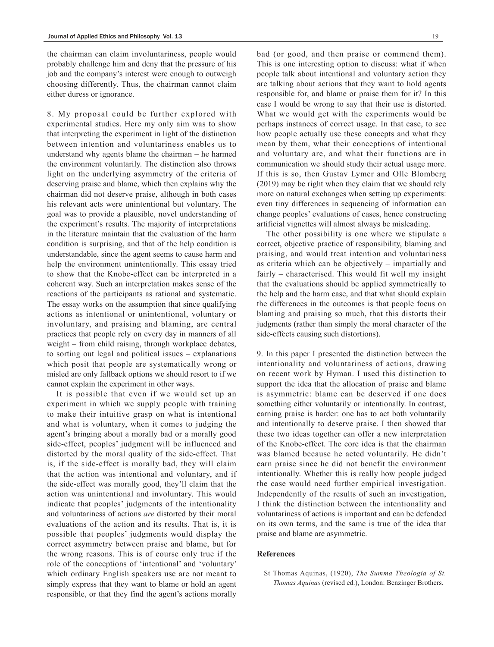the chairman can claim involuntariness, people would probably challenge him and deny that the pressure of his job and the company's interest were enough to outweigh choosing differently. Thus, the chairman cannot claim either duress or ignorance.

8. My proposal could be further explored with experimental studies. Here my only aim was to show that interpreting the experiment in light of the distinction between intention and voluntariness enables us to understand why agents blame the chairman – he harmed the environment voluntarily. The distinction also throws light on the underlying asymmetry of the criteria of deserving praise and blame, which then explains why the chairman did not deserve praise, although in both cases his relevant acts were unintentional but voluntary. The goal was to provide a plausible, novel understanding of the experiment's results. The majority of interpretations in the literature maintain that the evaluation of the harm condition is surprising, and that of the help condition is understandable, since the agent seems to cause harm and help the environment unintentionally. This essay tried to show that the Knobe-effect can be interpreted in a coherent way. Such an interpretation makes sense of the reactions of the participants as rational and systematic. The essay works on the assumption that since qualifying actions as intentional or unintentional, voluntary or involuntary, and praising and blaming, are central practices that people rely on every day in manners of all weight – from child raising, through workplace debates, to sorting out legal and political issues – explanations which posit that people are systematically wrong or misled are only fallback options we should resort to if we cannot explain the experiment in other ways.

It is possible that even if we would set up an experiment in which we supply people with training to make their intuitive grasp on what is intentional and what is voluntary, when it comes to judging the agent's bringing about a morally bad or a morally good side-effect, peoples' judgment will be influenced and distorted by the moral quality of the side-effect. That is, if the side-effect is morally bad, they will claim that the action was intentional and voluntary, and if the side-effect was morally good, they'll claim that the action was unintentional and involuntary. This would indicate that peoples' judgments of the intentionality and voluntariness of actions *are* distorted by their moral evaluations of the action and its results. That is, it is possible that peoples' judgments would display the correct asymmetry between praise and blame, but for the wrong reasons. This is of course only true if the role of the conceptions of 'intentional' and 'voluntary' which ordinary English speakers use are not meant to simply express that they want to blame or hold an agent responsible, or that they find the agent's actions morally bad (or good, and then praise or commend them). This is one interesting option to discuss: what if when people talk about intentional and voluntary action they are talking about actions that they want to hold agents responsible for, and blame or praise them for it? In this case I would be wrong to say that their use is distorted. What we would get with the experiments would be perhaps instances of correct usage. In that case, to see how people actually use these concepts and what they mean by them, what their conceptions of intentional and voluntary are, and what their functions are in communication we should study their actual usage more. If this is so, then Gustav Lymer and Olle Blomberg (2019) may be right when they claim that we should rely more on natural exchanges when setting up experiments: even tiny differences in sequencing of information can change peoples' evaluations of cases, hence constructing artificial vignettes will almost always be misleading.

The other possibility is one where we stipulate a correct, objective practice of responsibility, blaming and praising, and would treat intention and voluntariness as criteria which can be objectively – impartially and fairly – characterised. This would fit well my insight that the evaluations should be applied symmetrically to the help and the harm case, and that what should explain the differences in the outcomes is that people focus on blaming and praising so much, that this distorts their judgments (rather than simply the moral character of the side-effects causing such distortions).

9. In this paper I presented the distinction between the intentionality and voluntariness of actions, drawing on recent work by Hyman. I used this distinction to support the idea that the allocation of praise and blame is asymmetric: blame can be deserved if one does something either voluntarily or intentionally. In contrast, earning praise is harder: one has to act both voluntarily and intentionally to deserve praise. I then showed that these two ideas together can offer a new interpretation of the Knobe-effect. The core idea is that the chairman was blamed because he acted voluntarily. He didn't earn praise since he did not benefit the environment intentionally. Whether this is really how people judged the case would need further empirical investigation. Independently of the results of such an investigation, I think the distinction between the intentionality and voluntariness of actions is important and can be defended on its own terms, and the same is true of the idea that praise and blame are asymmetric.

### **References**

St Thomas Aquinas, (1920), *The Summa Theologia of St. Thomas Aquinas* (revised ed.), London: Benzinger Brothers.